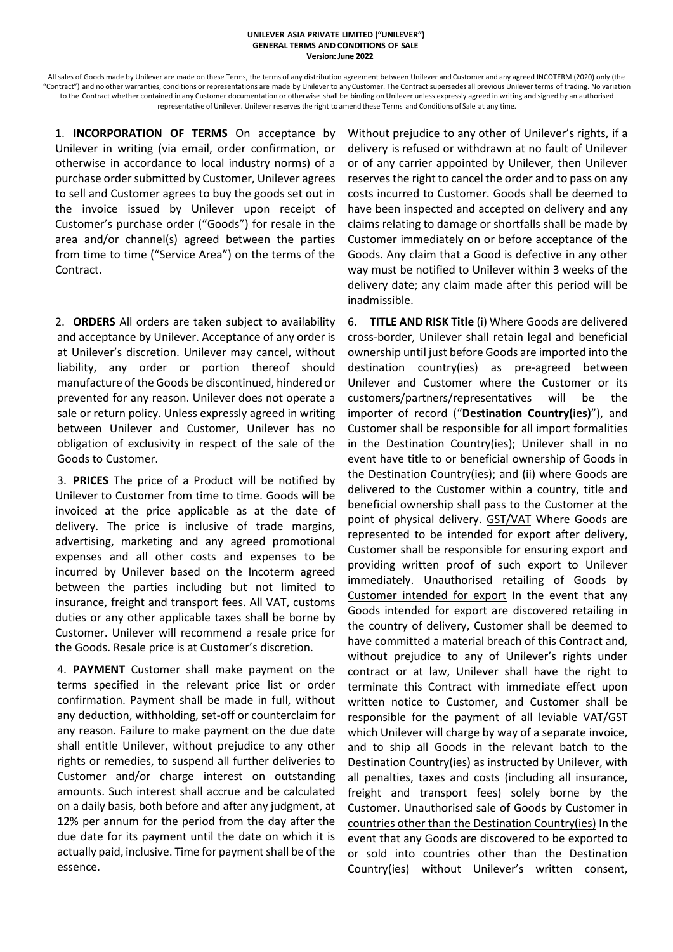## **UNILEVER ASIA PRIVATE LIMITED ("UNILEVER") GENERAL TERMS AND CONDITIONS OF SALE Version: June 2022**

All sales of Goods made by Unilever are made on these Terms, the terms of any distribution agreement between Unilever and Customer and any agreed INCOTERM (2020) only (the "Contract") and no other warranties, conditions or representations are made by Unilever to anyCustomer. The Contract supersedes all previous Unilever terms of trading. No variation to the Contract whether contained in any Customer documentation or otherwise shall be binding on Unilever unless expressly agreed in writing and signed by an authorised representative of Unilever. Unilever reservesthe right to amend these Terms and Conditions of Sale at any time.

1. **INCORPORATION OF TERMS** On acceptance by Unilever in writing (via email, order confirmation, or otherwise in accordance to local industry norms) of a purchase order submitted by Customer, Unilever agrees to sell and Customer agrees to buy the goods set out in the invoice issued by Unilever upon receipt of Customer's purchase order ("Goods") for resale in the area and/or channel(s) agreed between the parties from time to time ("Service Area") on the terms of the Contract.

2. **ORDERS** All orders are taken subject to availability and acceptance by Unilever. Acceptance of any order is at Unilever's discretion. Unilever may cancel, without liability, any order or portion thereof should manufacture of the Goods be discontinued, hindered or prevented for any reason. Unilever does not operate a sale or return policy. Unless expressly agreed in writing between Unilever and Customer, Unilever has no obligation of exclusivity in respect of the sale of the Goods to Customer.

3. **PRICES** The price of a Product will be notified by Unilever to Customer from time to time. Goods will be invoiced at the price applicable as at the date of delivery. The price is inclusive of trade margins, advertising, marketing and any agreed promotional expenses and all other costs and expenses to be incurred by Unilever based on the Incoterm agreed between the parties including but not limited to insurance, freight and transport fees. All VAT, customs duties or any other applicable taxes shall be borne by Customer. Unilever will recommend a resale price for the Goods. Resale price is at Customer's discretion.

4. **PAYMENT** Customer shall make payment on the terms specified in the relevant price list or order confirmation. Payment shall be made in full, without any deduction, withholding, set-off or counterclaim for any reason. Failure to make payment on the due date shall entitle Unilever, without prejudice to any other rights or remedies, to suspend all further deliveries to Customer and/or charge interest on outstanding amounts. Such interest shall accrue and be calculated on a daily basis, both before and after any judgment, at 12% per annum for the period from the day after the due date for its payment until the date on which it is actually paid, inclusive. Time for payment shall be of the essence.

Without prejudice to any other of Unilever's rights, if a delivery is refused or withdrawn at no fault of Unilever or of any carrier appointed by Unilever, then Unilever reserves the right to cancel the order and to pass on any costs incurred to Customer. Goods shall be deemed to have been inspected and accepted on delivery and any claims relating to damage or shortfalls shall be made by Customer immediately on or before acceptance of the Goods. Any claim that a Good is defective in any other way must be notified to Unilever within 3 weeks of the delivery date; any claim made after this period will be inadmissible.

6. **TITLE AND RISK Title** (i) Where Goods are delivered cross-border, Unilever shall retain legal and beneficial ownership until just before Goods are imported into the destination country(ies) as pre-agreed between Unilever and Customer where the Customer or its customers/partners/representatives will be the importer of record ("**Destination Country(ies)**"), and Customer shall be responsible for all import formalities in the Destination Country(ies); Unilever shall in no event have title to or beneficial ownership of Goods in the Destination Country(ies); and (ii) where Goods are delivered to the Customer within a country, title and beneficial ownership shall pass to the Customer at the point of physical delivery. GST/VAT Where Goods are represented to be intended for export after delivery, Customer shall be responsible for ensuring export and providing written proof of such export to Unilever immediately. Unauthorised retailing of Goods by Customer intended for export In the event that any Goods intended for export are discovered retailing in the country of delivery, Customer shall be deemed to have committed a material breach of this Contract and, without prejudice to any of Unilever's rights under contract or at law, Unilever shall have the right to terminate this Contract with immediate effect upon written notice to Customer, and Customer shall be responsible for the payment of all leviable VAT/GST which Unilever will charge by way of a separate invoice, and to ship all Goods in the relevant batch to the Destination Country(ies) as instructed by Unilever, with all penalties, taxes and costs (including all insurance, freight and transport fees) solely borne by the Customer. Unauthorised sale of Goods by Customer in countries other than the Destination Country(ies) In the event that any Goods are discovered to be exported to or sold into countries other than the Destination Country(ies) without Unilever's written consent,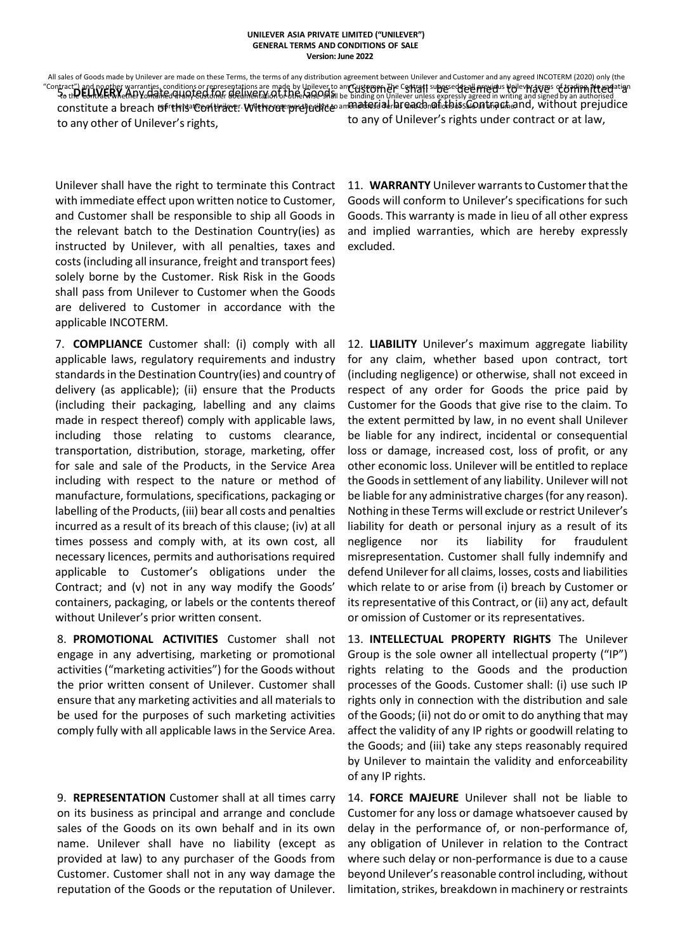All sales of Goods made by Unilever are made on these Terms, the terms of any distribution agreement between Unilever and Customer and any agreed INCOTERM (2020) only (the "Contract") and no other warranties, conditions or representations are made by Unilever to any Customer. The Contract supersedes all previous Unilever terms of trading. No variation tract") and noother warranties, conditions or representations are made by Unilever to an Gustem The Containt Departed supposed are in presented in writing and signed by an authorised<br>To the EonthEtWhethEt VonainEd HIAN CLS constitute a breach of this Contract. Without prejudice aminatesial breach of daissiont act and, without prejudice to any other of Unilever's rights, to any of Unilever's rights under contract or at law,

Unilever shall have the right to terminate this Contract with immediate effect upon written notice to Customer, and Customer shall be responsible to ship all Goods in the relevant batch to the Destination Country(ies) as instructed by Unilever, with all penalties, taxes and costs (including all insurance, freight and transport fees) solely borne by the Customer. Risk Risk in the Goods shall pass from Unilever to Customer when the Goods are delivered to Customer in accordance with the applicable INCOTERM.

7. **COMPLIANCE** Customer shall: (i) comply with all applicable laws, regulatory requirements and industry standards in the Destination Country(ies) and country of delivery (as applicable); (ii) ensure that the Products (including their packaging, labelling and any claims made in respect thereof) comply with applicable laws, including those relating to customs clearance, transportation, distribution, storage, marketing, offer for sale and sale of the Products, in the Service Area including with respect to the nature or method of manufacture, formulations, specifications, packaging or labelling of the Products, (iii) bear all costs and penalties incurred as a result of its breach of this clause; (iv) at all times possess and comply with, at its own cost, all necessary licences, permits and authorisations required applicable to Customer's obligations under the Contract; and (v) not in any way modify the Goods' containers, packaging, or labels or the contents thereof without Unilever's prior written consent.

8. **PROMOTIONAL ACTIVITIES** Customer shall not engage in any advertising, marketing or promotional activities ("marketing activities") for the Goods without the prior written consent of Unilever. Customer shall ensure that any marketing activities and all materials to be used for the purposes of such marketing activities comply fully with all applicable laws in the Service Area.

9. **REPRESENTATION** Customer shall at all times carry on its business as principal and arrange and conclude sales of the Goods on its own behalf and in its own name. Unilever shall have no liability (except as provided at law) to any purchaser of the Goods from Customer. Customer shall not in any way damage the reputation of the Goods or the reputation of Unilever.

11. **WARRANTY** Unilever warrants to Customer that the Goods will conform to Unilever's specifications for such Goods. This warranty is made in lieu of all other express and implied warranties, which are hereby expressly excluded.

12. **LIABILITY** Unilever's maximum aggregate liability for any claim, whether based upon contract, tort (including negligence) or otherwise, shall not exceed in respect of any order for Goods the price paid by Customer for the Goods that give rise to the claim. To the extent permitted by law, in no event shall Unilever be liable for any indirect, incidental or consequential loss or damage, increased cost, loss of profit, or any other economic loss. Unilever will be entitled to replace the Goods in settlement of any liability. Unilever will not be liable for any administrative charges (for any reason). Nothing in these Terms will exclude or restrict Unilever's liability for death or personal injury as a result of its negligence nor its liability for fraudulent misrepresentation. Customer shall fully indemnify and defend Unilever for all claims, losses, costs and liabilities which relate to or arise from (i) breach by Customer or its representative of this Contract, or (ii) any act, default or omission of Customer or its representatives.

13. **INTELLECTUAL PROPERTY RIGHTS** The Unilever Group is the sole owner all intellectual property ("IP") rights relating to the Goods and the production processes of the Goods. Customer shall: (i) use such IP rights only in connection with the distribution and sale of the Goods; (ii) not do or omit to do anything that may affect the validity of any IP rights or goodwill relating to the Goods; and (iii) take any steps reasonably required by Unilever to maintain the validity and enforceability of any IP rights.

14. **FORCE MAJEURE** Unilever shall not be liable to Customer for any loss or damage whatsoever caused by delay in the performance of, or non-performance of, any obligation of Unilever in relation to the Contract where such delay or non-performance is due to a cause beyond Unilever's reasonable control including, without limitation, strikes, breakdown in machinery or restraints